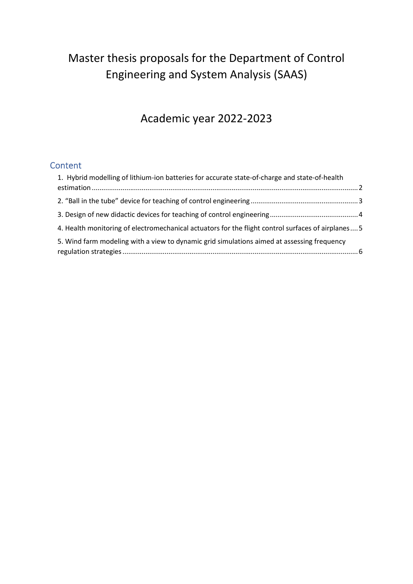# Master thesis proposals for the Department of Control Engineering and System Analysis (SAAS)

## Academic year 2022-2023

## **Content**

| 1. Hybrid modelling of lithium-ion batteries for accurate state-of-charge and state-of-health      |  |
|----------------------------------------------------------------------------------------------------|--|
|                                                                                                    |  |
|                                                                                                    |  |
| 4. Health monitoring of electromechanical actuators for the flight control surfaces of airplanes 5 |  |
| 5. Wind farm modeling with a view to dynamic grid simulations aimed at assessing frequency         |  |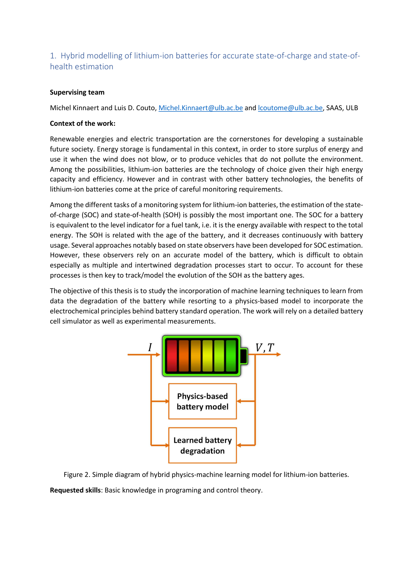## 1. Hybrid modelling of lithium-ion batteries for accurate state-of-charge and state-ofhealth estimation

#### Supervising team

Michel Kinnaert and Luis D. Couto, Michel.Kinnaert@ulb.ac.be and lcoutome@ulb.ac.be, SAAS, ULB

#### Context of the work:

Renewable energies and electric transportation are the cornerstones for developing a sustainable future society. Energy storage is fundamental in this context, in order to store surplus of energy and use it when the wind does not blow, or to produce vehicles that do not pollute the environment. Among the possibilities, lithium-ion batteries are the technology of choice given their high energy capacity and efficiency. However and in contrast with other battery technologies, the benefits of lithium-ion batteries come at the price of careful monitoring requirements.

Among the different tasks of a monitoring system for lithium-ion batteries, the estimation of the stateof-charge (SOC) and state-of-health (SOH) is possibly the most important one. The SOC for a battery is equivalent to the level indicator for a fuel tank, i.e. it is the energy available with respect to the total energy. The SOH is related with the age of the battery, and it decreases continuously with battery usage. Several approaches notably based on state observers have been developed for SOC estimation. However, these observers rely on an accurate model of the battery, which is difficult to obtain especially as multiple and intertwined degradation processes start to occur. To account for these processes is then key to track/model the evolution of the SOH as the battery ages.

The objective of this thesis is to study the incorporation of machine learning techniques to learn from data the degradation of the battery while resorting to a physics-based model to incorporate the electrochemical principles behind battery standard operation. The work will rely on a detailed battery cell simulator as well as experimental measurements.



Figure 2. Simple diagram of hybrid physics-machine learning model for lithium-ion batteries.

Requested skills: Basic knowledge in programing and control theory.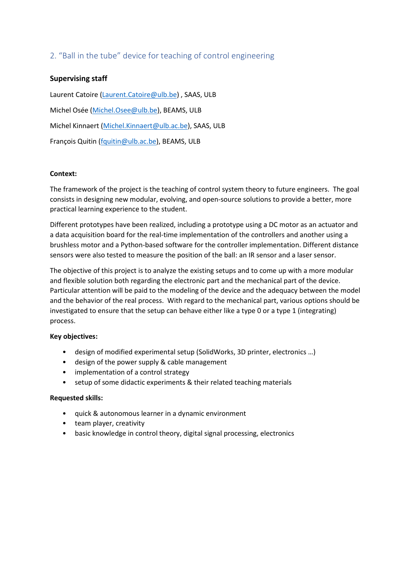### 2. "Ball in the tube" device for teaching of control engineering

#### Supervising staff

Laurent Catoire (Laurent.Catoire@ulb.be) , SAAS, ULB Michel Osée (Michel.Osee@ulb.be), BEAMS, ULB Michel Kinnaert (Michel.Kinnaert@ulb.ac.be), SAAS, ULB François Quitin (fquitin@ulb.ac.be), BEAMS, ULB

#### Context:

The framework of the project is the teaching of control system theory to future engineers. The goal consists in designing new modular, evolving, and open-source solutions to provide a better, more practical learning experience to the student.

Different prototypes have been realized, including a prototype using a DC motor as an actuator and a data acquisition board for the real-time implementation of the controllers and another using a brushless motor and a Python-based software for the controller implementation. Different distance sensors were also tested to measure the position of the ball: an IR sensor and a laser sensor.

The objective of this project is to analyze the existing setups and to come up with a more modular and flexible solution both regarding the electronic part and the mechanical part of the device. Particular attention will be paid to the modeling of the device and the adequacy between the model and the behavior of the real process. With regard to the mechanical part, various options should be investigated to ensure that the setup can behave either like a type 0 or a type 1 (integrating) process.

#### Key objectives:

- design of modified experimental setup (SolidWorks, 3D printer, electronics …)
- design of the power supply & cable management
- implementation of a control strategy
- setup of some didactic experiments & their related teaching materials

#### Requested skills:

- quick & autonomous learner in a dynamic environment
- team player, creativity
- basic knowledge in control theory, digital signal processing, electronics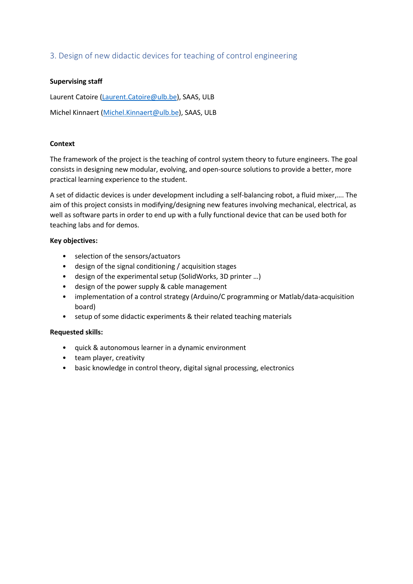### 3. Design of new didactic devices for teaching of control engineering

#### Supervising staff

Laurent Catoire (Laurent.Catoire@ulb.be), SAAS, ULB Michel Kinnaert (Michel.Kinnaert@ulb.be), SAAS, ULB

#### **Context**

The framework of the project is the teaching of control system theory to future engineers. The goal consists in designing new modular, evolving, and open-source solutions to provide a better, more practical learning experience to the student.

A set of didactic devices is under development including a self-balancing robot, a fluid mixer,…. The aim of this project consists in modifying/designing new features involving mechanical, electrical, as well as software parts in order to end up with a fully functional device that can be used both for teaching labs and for demos.

#### Key objectives:

- selection of the sensors/actuators
- design of the signal conditioning / acquisition stages
- design of the experimental setup (SolidWorks, 3D printer …)
- design of the power supply & cable management
- implementation of a control strategy (Arduino/C programming or Matlab/data-acquisition board)
- setup of some didactic experiments & their related teaching materials

#### Requested skills:

- quick & autonomous learner in a dynamic environment
- team player, creativity
- basic knowledge in control theory, digital signal processing, electronics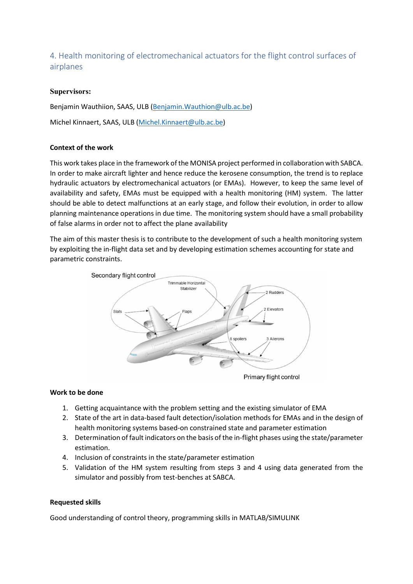4. Health monitoring of electromechanical actuators for the flight control surfaces of airplanes

#### Supervisors:

Benjamin Wauthiion, SAAS, ULB (Benjamin.Wauthion@ulb.ac.be) Michel Kinnaert, SAAS, ULB (Michel.Kinnaert@ulb.ac.be)

#### Context of the work

This work takes place in the framework of the MONISA project performed in collaboration with SABCA. In order to make aircraft lighter and hence reduce the kerosene consumption, the trend is to replace hydraulic actuators by electromechanical actuators (or EMAs). However, to keep the same level of availability and safety, EMAs must be equipped with a health monitoring (HM) system. The latter should be able to detect malfunctions at an early stage, and follow their evolution, in order to allow planning maintenance operations in due time. The monitoring system should have a small probability of false alarms in order not to affect the plane availability

The aim of this master thesis is to contribute to the development of such a health monitoring system by exploiting the in-flight data set and by developing estimation schemes accounting for state and parametric constraints.



Primary flight control

#### Work to be done

- 1. Getting acquaintance with the problem setting and the existing simulator of EMA
- 2. State of the art in data-based fault detection/isolation methods for EMAs and in the design of health monitoring systems based-on constrained state and parameter estimation
- 3. Determination of fault indicators on the basis of the in-flight phases using the state/parameter estimation.
- 4. Inclusion of constraints in the state/parameter estimation
- 5. Validation of the HM system resulting from steps 3 and 4 using data generated from the simulator and possibly from test-benches at SABCA.

#### Requested skills

Good understanding of control theory, programming skills in MATLAB/SIMULINK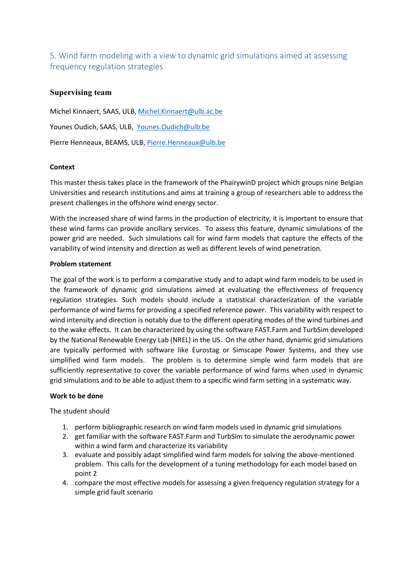5. Wind farm modeling with a view to dynamic grid simulations aimed at assessing frequency regulation strategies

#### Supervising team

Michel Kinnaert, SAAS, ULB, Michel.Kinnaert@ulb.ac.be Younes Oudich, SAAS, ULB, Younes.Oudich@ulb.be Pierre Henneaux, BEAMS, ULB, Pierre.Henneaux@ulb.be

#### **Context**

This master thesis takes place in the framework of the PhairywinD project which groups nine Belgian Universities and research institutions and aims at training a group of researchers able to address the present challenges in the offshore wind energy sector.

With the increased share of wind farms in the production of electricity, it is important to ensure that these wind farms can provide ancillary services. To assess this feature, dynamic simulations of the power grid are needed. Such simulations call for wind farm models that capture the effects of the variability of wind intensity and direction as well as different levels of wind penetration.

#### Problem statement

The goal of the work is to perform a comparative study and to adapt wind farm models to be used in the framework of dynamic grid simulations aimed at evaluating the effectiveness of frequency regulation strategies. Such models should include a statistical characterization of the variable performance of wind farms for providing a specified reference power. This variability with respect to wind intensity and direction is notably due to the different operating modes of the wind turbines and to the wake effects. It can be characterized by using the software FAST.Farm and TurbSim developed by the National Renewable Energy Lab (NREL) in the US. On the other hand, dynamic grid simulations are typically performed with software like Eurostag or Simscape Power Systems, and they use simplified wind farm models. The problem is to determine simple wind farm models that are sufficiently representative to cover the variable performance of wind farms when used in dynamic grid simulations and to be able to adjust them to a specific wind farm setting in a systematic way.

#### Work to be done

The student should

- 1. perform bibliographic research on wind farm models used in dynamic grid simulations
- 2. get familiar with the software FAST.Farm and TurbSim to simulate the aerodynamic power within a wind farm and characterize its variability
- 3. evaluate and possibly adapt simplified wind farm models for solving the above-mentioned problem. This calls for the development of a tuning methodology for each model based on point 2
- 4. compare the most effective models for assessing a given frequency regulation strategy for a simple grid fault scenario